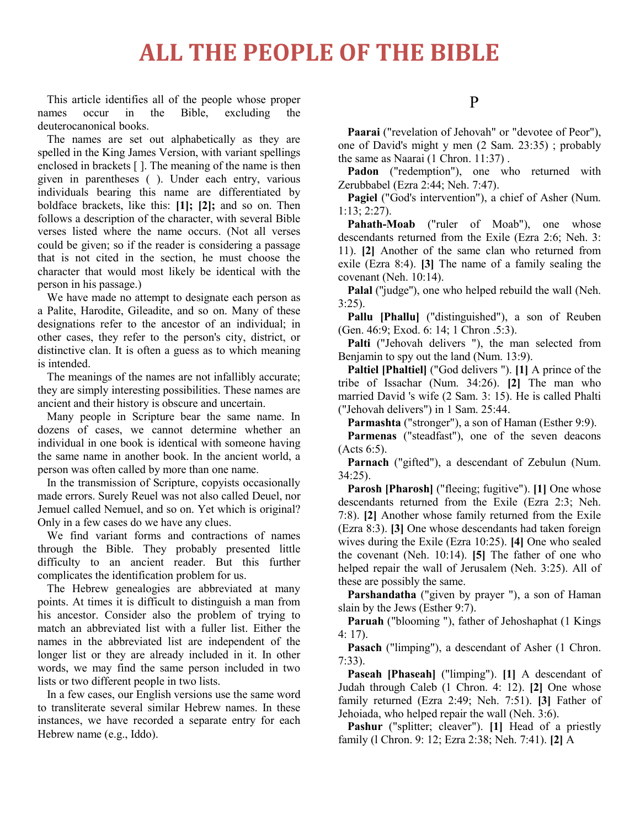## **ALL THE PEOPLE OF THE BIBLE**

This article identifies all of the people whose proper names occur in the Bible, excluding the deuterocanonical books.

The names are set out alphabetically as they are spelled in the King James Version, with variant spellings enclosed in brackets [ ]. The meaning of the name is then given in parentheses ( ). Under each entry, various individuals bearing this name are differentiated by boldface brackets, like this: **[1]; [2];** and so on. Then follows a description of the character, with several Bible verses listed where the name occurs. (Not all verses could be given; so if the reader is considering a passage that is not cited in the section, he must choose the character that would most likely be identical with the person in his passage.)

We have made no attempt to designate each person as a Palite, Harodite, Gileadite, and so on. Many of these designations refer to the ancestor of an individual; in other cases, they refer to the person's city, district, or distinctive clan. It is often a guess as to which meaning is intended.

The meanings of the names are not infallibly accurate; they are simply interesting possibilities. These names are ancient and their history is obscure and uncertain.

Many people in Scripture bear the same name. In dozens of cases, we cannot determine whether an individual in one book is identical with someone having the same name in another book. In the ancient world, a person was often called by more than one name.

In the transmission of Scripture, copyists occasionally made errors. Surely Reuel was not also called Deuel, nor Jemuel called Nemuel, and so on. Yet which is original? Only in a few cases do we have any clues.

We find variant forms and contractions of names through the Bible. They probably presented little difficulty to an ancient reader. But this further complicates the identification problem for us.

The Hebrew genealogies are abbreviated at many points. At times it is difficult to distinguish a man from his ancestor. Consider also the problem of trying to match an abbreviated list with a fuller list. Either the names in the abbreviated list are independent of the longer list or they are already included in it. In other words, we may find the same person included in two lists or two different people in two lists.

In a few cases, our English versions use the same word to transliterate several similar Hebrew names. In these instances, we have recorded a separate entry for each Hebrew name (e.g., Iddo).

## P

**Paarai** ("revelation of Jehovah" or "devotee of Peor"), one of David's might y men (2 Sam. 23:35) ; probably the same as Naarai (1 Chron. 11:37) .

**Padon** ("redemption"), one who returned with Zerubbabel (Ezra 2:44; Neh. 7:47).

**Pagiel** ("God's intervention"), a chief of Asher (Num. 1:13; 2:27).

Pahath-Moab ("ruler of Moab"), one whose descendants returned from the Exile (Ezra 2:6; Neh. 3: 11). **[2]** Another of the same clan who returned from exile (Ezra 8:4). **[3]** The name of a family sealing the covenant (Neh. 10:14).

**Palal** (''judge''), one who helped rebuild the wall (Neh.  $3:25$ ).

**Pallu [Phallu]** ("distinguished"), a son of Reuben (Gen. 46:9; Exod. 6: 14; 1 Chron .5:3).

**Palti** ("Jehovah delivers "), the man selected from Benjamin to spy out the land (Num. 13:9).

**Paltiel [Phaltiel]** ("God delivers "). **[1]** A prince of the tribe of Issachar (Num. 34:26). **[2]** The man who married David 's wife (2 Sam. 3: 15). He is called Phalti ("Jehovah delivers") in 1 Sam. 25:44.

**Parmashta** ("stronger"), a son of Haman (Esther 9:9).

**Parmenas** ("steadfast"), one of the seven deacons (Acts 6:5).

**Parnach** ("gifted"), a descendant of Zebulun (Num. 34:25).

**Parosh [Pharosh]** ("fleeing; fugitive"). **[1]** One whose descendants returned from the Exile (Ezra 2:3; Neh. 7:8). **[2]** Another whose family returned from the Exile (Ezra 8:3). **[3]** One whose descendants had taken foreign wives during the Exile (Ezra 10:25). **[4]** One who sealed the covenant (Neh. 10:14). **[5]** The father of one who helped repair the wall of Jerusalem (Neh. 3:25). All of these are possibly the same.

**Parshandatha** ("given by prayer "), a son of Haman slain by the Jews (Esther 9:7).

**Paruah** ("blooming "), father of Jehoshaphat (1 Kings 4: 17).

**Pasach** ("limping"), a descendant of Asher (1 Chron. 7:33).

**Paseah [Phaseah]** ("limping"). **[1]** A descendant of Judah through Caleb (1 Chron. 4: 12). **[2]** One whose family returned (Ezra 2:49; Neh. 7:51). **[3]** Father of Jehoiada, who helped repair the wall (Neh. 3:6).

**Pashur** ("splitter; cleaver"). **[1]** Head of a priestly family (l Chron. 9: 12; Ezra 2:38; Neh. 7:41). **[2]** A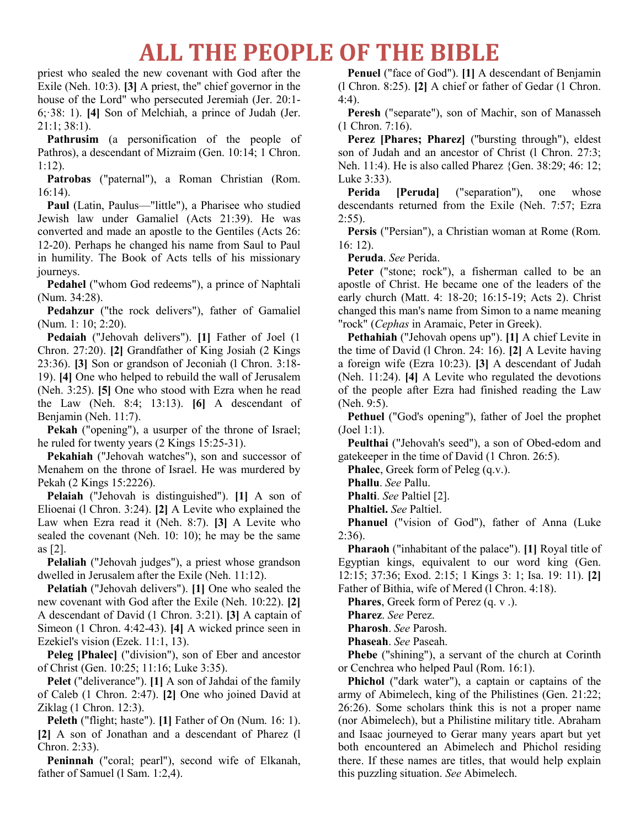## **ALL THE PEOPLE OF THE BIBLE**

priest who sealed the new covenant with God after the Exile (Neh. 10:3). **[3]** A priest, the" chief governor in the house of the Lord" who persecuted Jeremiah (Jer. 20:1- 6;·38: 1). **[4]** Son of Melchiah, a prince of Judah (Jer. 21:1; 38:1).

**Pathrusim** (a personification of the people of Pathros), a descendant of Mizraim (Gen. 10:14; 1 Chron. 1:12).

**Patrobas** ("paternal"), a Roman Christian (Rom. 16:14).

**Paul** (Latin, Paulus—"little"), a Pharisee who studied Jewish law under Gamaliel (Acts 21:39). He was converted and made an apostle to the Gentiles (Acts 26: 12-20). Perhaps he changed his name from Saul to Paul in humility. The Book of Acts tells of his missionary journeys.

**Pedahel** ("whom God redeems"), a prince of Naphtali (Num. 34:28).

**Pedahzur** ("the rock delivers"), father of Gamaliel (Num. 1: 10; 2:20).

**Pedaiah** ("Jehovah delivers"). **[1]** Father of Joel (1 Chron. 27:20). **[2]** Grandfather of King Josiah (2 Kings 23:36). **[3]** Son or grandson of Jeconiah (l Chron. 3:18- 19). **[4]** One who helped to rebuild the wall of Jerusalem (Neh. 3:25). **[5]** One who stood with Ezra when he read the Law (Neh. 8:4; 13:13). **[6]** A descendant of Benjamin (Neh. 11:7).

**Pekah** ("opening"), a usurper of the throne of Israel; he ruled for twenty years (2 Kings 15:25-31).

**Pekahiah** ("Jehovah watches"), son and successor of Menahem on the throne of Israel. He was murdered by Pekah (2 Kings 15:2226).

**Pelaiah** ("Jehovah is distinguished"). **[1]** A son of Elioenai (l Chron. 3:24). **[2]** A Levite who explained the Law when Ezra read it (Neh. 8:7). **[3]** A Levite who sealed the covenant (Neh. 10: 10); he may be the same as [2].

**Pelaliah** ("Jehovah judges"), a priest whose grandson dwelled in Jerusalem after the Exile (Neh. 11:12).

**Pelatiah** ("Jehovah delivers"). **[1]** One who sealed the new covenant with God after the Exile (Neh. 10:22). **[2]** A descendant of David (1 Chron. 3:21). **[3]** A captain of Simeon (1 Chron. 4:42-43). **[4]** A wicked prince seen in Ezekiel's vision (Ezek. 11:1, 13).

**Peleg [Phalec]** ("division"), son of Eber and ancestor of Christ (Gen. 10:25; 11:16; Luke 3:35).

**Pelet** ("deliverance"). **[1]** A son of Jahdai of the family of Caleb (1 Chron. 2:47). **[2]** One who joined David at Ziklag (1 Chron. 12:3).

**Peleth** ("flight; haste"). **[1]** Father of On (Num. 16: 1). **[2]** A son of Jonathan and a descendant of Pharez (l Chron. 2:33).

**Peninnah** ("coral; pearl"), second wife of Elkanah, father of Samuel (1 Sam. 1:2,4).

**Penuel** ("face of God"). **[1]** A descendant of Benjamin (l Chron. 8:25). **[2]** A chief or father of Gedar (1 Chron. 4:4).

**Peresh** ("separate"), son of Machir, son of Manasseh (1 Chron. 7:16).

**Perez [Phares; Pharez]** (''bursting through"), eldest son of Judah and an ancestor of Christ (1 Chron. 27:3; Neh. 11:4). He is also called Pharez {Gen. 38:29; 46: 12; Luke 3:33).

**Perida [Peruda]** ("separation"), one whose descendants returned from the Exile (Neh. 7:57; Ezra  $2:55$ ).

**Persis** ("Persian"), a Christian woman at Rome (Rom. 16: 12).

**Peruda**. *See* Perida.

Peter ("stone; rock"), a fisherman called to be an apostle of Christ. He became one of the leaders of the early church (Matt. 4: 18-20; 16:15-19; Acts 2). Christ changed this man's name from Simon to a name meaning "rock" (*Cephas* in Aramaic, Peter in Greek).

**Pethahiah** ("Jehovah opens up"). **[1]** A chief Levite in the time of David (l Chron. 24: 16). **[2]** A Levite having a foreign wife (Ezra 10:23). **[3]** A descendant of Judah (Neh. 11:24). **[4]** A Levite who regulated the devotions of the people after Ezra had finished reading the Law (Neh. 9:5).

**Pethuel** ("God's opening"), father of Joel the prophet (Joel 1:1).

**Peulthai** ("Jehovah's seed"), a son of Obed-edom and gatekeeper in the time of David (1 Chron. 26:5).

**Phalec**, Greek form of Peleg (q.v.).

**Phallu**. *See* Pallu.

**Phalti**. *See* Paltiel [2].

**Phaltiel.** *See* Paltiel.

**Phanuel** ("vision of God"), father of Anna (Luke  $2:36$ ).

**Pharaoh** ("inhabitant of the palace"). **[1]** Royal title of Egyptian kings, equivalent to our word king (Gen. 12:15; 37:36; Exod. 2:15; 1 Kings 3: 1; Isa. 19: 11). **[2]** Father of Bithia, wife of Mered (l Chron. 4:18).

**Phares**, Greek form of Perez (q. v .).

**Pharez**. *See* Perez.

**Pharosh**. *See* Parosh.

**Phaseah**. *See* Paseah.

**Phebe** ("shining"), a servant of the church at Corinth or Cenchrea who helped Paul (Rom. 16:1).

**Phichol** ("dark water"), a captain or captains of the army of Abimelech, king of the Philistines (Gen. 21:22; 26:26). Some scholars think this is not a proper name (nor Abimelech), but a Philistine military title. Abraham and Isaac journeyed to Gerar many years apart but yet both encountered an Abimelech and Phichol residing there. If these names are titles, that would help explain this puzzling situation. *See* Abimelech.